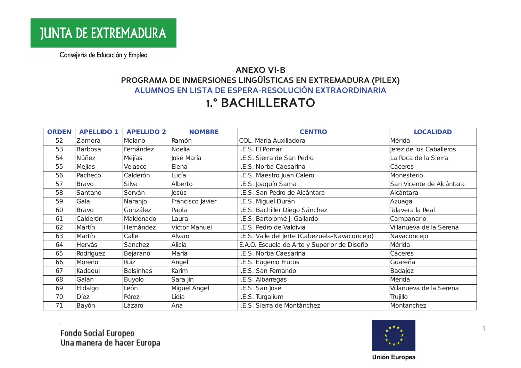#### **ANEXO VI-B** PROGRAMA DE INMERSIONES LINGÜÍSTICAS EN EXTREMADURA (PILEX) ALUMNOS EN LISTA DE ESPERA-RESOLUCIÓN EXTRAORDINARIA

## **1.º BACHILLERATO**

| <b>ORDEN</b> | <b>APELLIDO 1</b> | <b>APELLIDO 2</b> | <b>NOMBRE</b>    | <b>CENTRO</b>                                  | <b>LOCALIDAD</b>         |
|--------------|-------------------|-------------------|------------------|------------------------------------------------|--------------------------|
| 52           | Zamora            | Molano            | Ramón            | COL. María Auxiliadora                         | Mérida                   |
| 53           | Barbosa           | Femández          | <b>Noelia</b>    | I.E.S. El Pomar                                | Jerez de los Caballeros  |
| 54           | Núñez             | Mejías            | losé María       | I.E.S. Sierra de San Pedro                     | La Roca de la Sierra     |
| 55           | Mejías            | Velasco           | Elena            | I.E.S. Norba Caesarina                         | Cáceres                  |
| 56           | Pacheco           | Calderón          | Lucía            | I.E.S. Maestro Juan Calero                     | Monesterio               |
| 57           | <b>Bravo</b>      | Silva             | Alberto          | I.E.S. Joaquín Sama                            | San Vicente de Alcántara |
| 58           | Santano           | Serván            | <b>Jesús</b>     | I.E.S. San Pedro de Alcántara                  | Alcántara                |
| 59           | Gala              | Naranjo           | Francisco Javier | I.E.S. Miguel Durán                            | Azuaga                   |
| 60           | <b>Bravo</b>      | González          | Paola            | I.E.S. Bachiller Diego Sánchez                 | Talavera la Real         |
| 61           | Calderón          | Maldonado         | Laura            | I.E.S. Bartolomé J. Gallardo                   | Campanario               |
| 62           | Martín            | Hemández          | Víctor Manuel    | I.E.S. Pedro de Valdivia                       | Villanueva de la Serena  |
| 63           | Martín            | Calle             | Álvaro           | I.E.S. Valle del Jerte (Cabezuela-Navaconcejo) | Navaconcejo              |
| 64           | Hervás            | Sánchez           | Alicia           | E.A.O. Escuela de Arte y Superior de Diseño    | Mérida                   |
| 65           | Rodríguez         | Bejarano          | María            | I.E.S. Norba Caesarina                         | Cáceres                  |
| 66           | Moreno            | Ruiz              | Ángel            | I.E.S. Eugenio Frutos                          | Guareña                  |
| 67           | Kadaoui           | <b>Balsinhas</b>  | Karim            | I.E.S. San Femando                             | Badajoz                  |
| 68           | Galán             | Buyolo            | Sara Jin         | I.E.S. Albarregas                              | Mérida                   |
| 69           | Hidalgo           | León              | Miguel Ángel     | I.E.S. San José                                | Villanueva de la Serena  |
| 70           | <b>Díez</b>       | Pérez             | Lidia            | I.E.S. Turgalium                               | Trujillo                 |
| 71           | Bayón             | Lázaro            | Ana              | I.E.S. Sierra de Montánchez                    | Montanchez               |

Fondo Social Europeo<br>Una manera de hacer Europa



 $\overline{1}$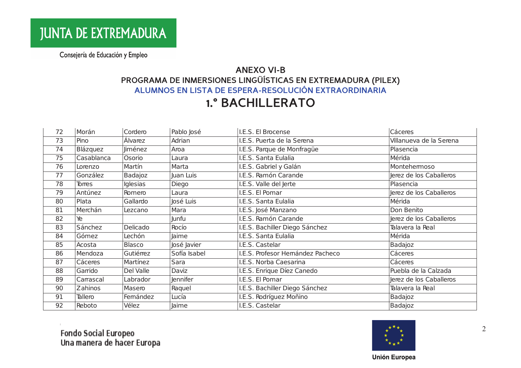### **ANEXO VI-B** PROGRAMA DE INMERSIONES LINGÜÍSTICAS EN EXTREMADURA (PILEX) ALUMNOS EN LISTA DE ESPERA-RESOLUCIÓN EXTRAORDINARIA

# **1.º BACHILLERATO**

| 72 | Morán      | Cordero         | Pablo José      | I.E.S. El Brocense               | Cáceres                 |
|----|------------|-----------------|-----------------|----------------------------------|-------------------------|
| 73 | Pino       | Álvarez         | Adrian          | I.E.S. Puerta de la Serena       | Villanueva de la Serena |
| 74 | Blázquez   | <b>liménez</b>  | Aroa            | I.E.S. Parque de Monfragüe       | Plasencia               |
| 75 | Casablanca | Osorio          | Laura           | I.E.S. Santa Eulalia             | Mérida                  |
| 76 | Lorenzo    | Martín          | Marta           | I.E.S. Gabriel y Galán           | Montehermoso            |
| 77 | González   | Badajoz         | Juan Luis       | I.E.S. Ramón Carande             | Jerez de los Caballeros |
| 78 | Torres     | <b>Iglesias</b> | Diego           | I.E.S. Valle del Jerte           | Plasencia               |
| 79 | Antúnez    | Romero          | Laura           | I.E.S. El Pomar                  | Jerez de los Caballeros |
| 80 | Plata      | Gallardo        | José Luis       | I.E.S. Santa Eulalia             | Mérida                  |
| 81 | Merchán    | Lezcano         | Mara            | I.E.S. José Manzano              | Don Benito              |
| 82 | Ye         |                 | Junfu           | I.E.S. Ramón Carande             | Jerez de los Caballeros |
| 83 | Sánchez    | Delicado        | Rocío           | I.E.S. Bachiller Diego Sánchez   | Talavera la Real        |
| 84 | Gómez      | Lechón          | Jaime           | I.E.S. Santa Eulalia             | Mérida                  |
| 85 | Acosta     | <b>Blasco</b>   | José Javier     | I.E.S. Castelar                  | Badajoz                 |
| 86 | Mendoza    | Gutiérrez       | Sofía Isabel    | I.E.S. Profesor Hemández Pacheco | Cáceres                 |
| 87 | Cáceres    | Martínez        | Sara            | I.E.S. Norba Caesarina           | Cáceres                 |
| 88 | Garrido    | Del Valle       | Daviz           | I.E.S. Enrique Díez Canedo       | Puebla de la Calzada    |
| 89 | Carrascal  | Labrador        | <b>Jennifer</b> | I.E.S. El Pomar                  | Jerez de los Caballeros |
| 90 | Zahinos    | Masero          | Raquel          | I.E.S. Bachiller Diego Sánchez   | Talavera la Real        |
| 91 | Tallero    | Femández        | Lucía           | I.E.S. Rodríguez Moñino          | Badajoz                 |
| 92 | Reboto     | Vélez           | Jaime           | I.E.S. Castelar                  | Badajoz                 |



2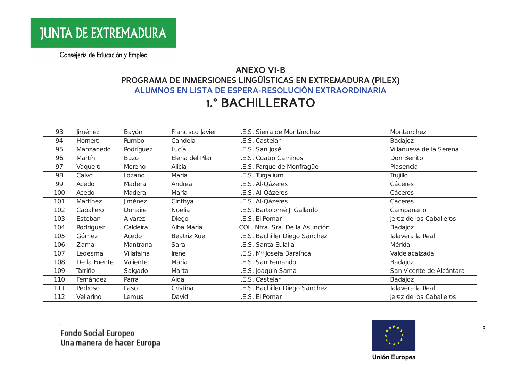### **ANEXO VI-B** PROGRAMA DE INMERSIONES LINGÜÍSTICAS EN EXTREMADURA (PILEX) ALUMNOS EN LISTA DE ESPERA-RESOLUCIÓN EXTRAORDINARIA

# **1.º BACHILLERATO**

| 93  | <b>liménez</b> | Bayón          | Francisco Javier | I.E.S. Sierra de Montánchez    | Montanchez               |
|-----|----------------|----------------|------------------|--------------------------------|--------------------------|
| 94  | Homero         | Rumbo          | Candela          | I.E.S. Castelar                | Badajoz                  |
| 95  | Manzanedo      | Rodríguez      | Lucía            | I.E.S. San José                | Villanueva de la Serena  |
| 96  | Martín         | <b>Buzo</b>    | Elena del Pilar  | I.E.S. Cuatro Caminos          | Don Benito               |
| 97  | Vaquero        | Moreno         | Alicia           | I.E.S. Parque de Monfragüe     | Plasencia                |
| 98  | Calvo          | Lozano         | María            | I.E.S. Turgalium               | Trujillo                 |
| 99  | Acedo          | Madera         | Andrea           | I.E.S. Al-Qázeres              | Cáceres                  |
| 100 | Acedo          | Madera         | María            | I.E.S. Al-Qázeres              | Cáceres                  |
| 101 | Martínez       | <b>liménez</b> | Cinthya          | I.E.S. Al-Qázeres              | Cáceres                  |
| 102 | Caballero      | Donaire        | <b>Noelia</b>    | I.E.S. Bartolomé J. Gallardo   | Campanario               |
| 103 | Esteban        | Álvarez        | Diego            | I.E.S. El Pomar                | Jerez de los Caballeros  |
| 104 | Rodríguez      | Caldeira       | Alba María       | COL. Ntra. Sra. De la Asunción | Badajoz                  |
| 105 | Gómez          | Acedo          | Beatriz Xue      | I.E.S. Bachiller Diego Sánchez | Talavera la Real         |
| 106 | Zama           | Mantrana       | Sara             | I.E.S. Santa Eulalia           | Mérida                   |
| 107 | Ledesma        | Villafaina     | Irene            | I.E.S. Mª Josefa Baraínca      | Valdelacalzada           |
| 108 | De la Fuente   | Valiente       | María            | I.E.S. San Femando             | Badajoz                  |
| 109 | Tarriño        | Salgado        | Marta            | I.E.S. Joaquín Sama            | San Vicente de Alcántara |
| 110 | Femández       | Parra          | Aida             | I.E.S. Castelar                | Badajoz                  |
| 111 | Pedroso        | Laso           | Cristina         | I.E.S. Bachiller Diego Sánchez | Talavera la Real         |
| 112 | Vellarino      | Lemus          | David            | I.E.S. El Pomar                | Jerez de los Caballeros  |



3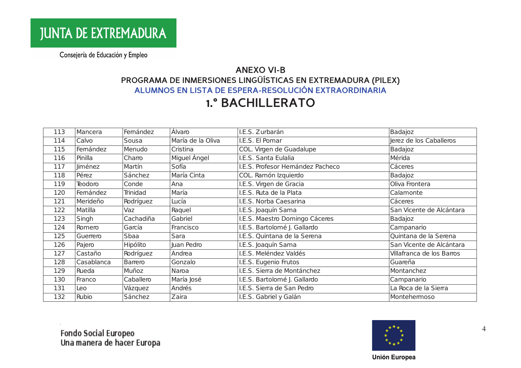### **ANEXO VI-B** PROGRAMA DE INMERSIONES LINGÜÍSTICAS EN EXTREMADURA (PILEX) ALUMNOS EN LISTA DE ESPERA-RESOLUCIÓN EXTRAORDINARIA

# **1.º BACHILLERATO**

| 113 | Mancera        | Femández        | Álvaro            | I.E.S. Zurbarán                  | Badajoz                   |
|-----|----------------|-----------------|-------------------|----------------------------------|---------------------------|
| 114 | Calvo          | Sousa           | María de la Oliva | I.E.S. El Pomar                  | Jerez de los Caballeros   |
| 115 | Femández       | Menudo          | Cristina          | COL. Virgen de Guadalupe         | Badajoz                   |
| 116 | Pinilla        | Charro          | Miguel Ángel      | I.E.S. Santa Eulalia             | Mérida                    |
| 117 | <b>Jiménez</b> | Martín          | Sofía             | I.E.S. Profesor Hemández Pacheco | Cáceres                   |
| 118 | Pérez          | Sánchez         | María Cinta       | COL. Ramón Izquierdo             | Badajoz                   |
| 119 | Teodoro        | Conde           | Ana               | I.E.S. Virgen de Gracia          | Oliva Frontera            |
| 120 | Femández       | Trinidad        | María             | I.E.S. Ruta de la Plata          | Calamonte                 |
| 121 | Merideño       | Rodríguez       | Lucía             | I.E.S. Norba Caesarina           | Cáceres                   |
| 122 | Matilla        | Vaz             | Raquel            | I.E.S. Joaquín Sama              | San Vicente de Alcántara  |
| 123 | Singh          | Cachadiña       | Gabriel           | I.E.S. Maestro Domingo Cáceres   | Badajoz                   |
| 124 | Romero         | García          | Francisco         | I.E.S. Bartolomé J. Gallardo     | Campanario                |
| 125 | Guerrero       | Sbaa            | Sara              | I.E.S. Quintana de la Serena     | Quintana de la Serena     |
| 126 | Pajero         | <b>Hipólito</b> | Juan Pedro        | I.E.S. Joaquín Sama              | San Vicente de Alcántara  |
| 127 | Castaño        | Rodríguez       | Andrea            | I.E.S. Meléndez Valdés           | Villafranca de los Barros |
| 128 | Casablanca     | Barrero         | Gonzalo           | I.E.S. Eugenio Frutos            | Guareña                   |
| 129 | Rueda          | Muñoz           | Naroa             | I.E.S. Sierra de Montánchez      | Montanchez                |
| 130 | Franco         | Caballero       | María José        | I.E.S. Bartolomé J. Gallardo     | Campanario                |
| 131 | Leo            | Vázquez         | Andrés            | I.E.S. Sierra de San Pedro       | La Roca de la Sierra      |
| 132 | Rubio          | Sánchez         | Zaira             | I.E.S. Gabriel y Galán           | Montehemoso               |



 $\overline{4}$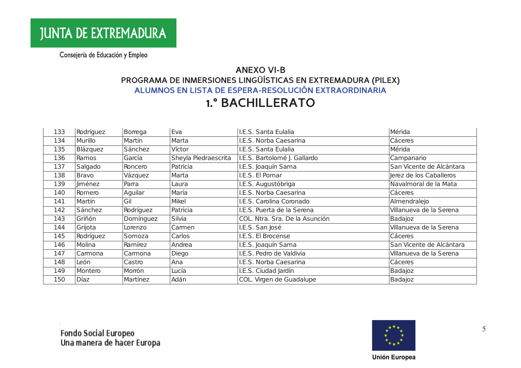#### **ANEXO VI-B** PROGRAMA DE INMERSIONES LINGÜÍSTICAS EN EXTREMADURA (PILEX) ALUMNOS EN LISTA DE ESPERA-RESOLUCIÓN EXTRAORDINARIA

## **1.º BACHILLERATO**

| 133 | Rodríguez      | Borrega   | Eva                  | I.E.S. Santa Eulalia           | Mérida                   |
|-----|----------------|-----------|----------------------|--------------------------------|--------------------------|
| 134 | Murillo        | Martín    | Marta                | I.E.S. Norba Caesarina         | Cáceres                  |
| 135 | Blázquez       | Sánchez   | Víctor               | I.E.S. Santa Eulalia           | Mérida                   |
| 136 | Ramos          | García    | Sheyla Piedraescrita | I.E.S. Bartolomé J. Gallardo   | Campanario               |
| 137 | Salgado        | Roncero   | Patricia             | I.E.S. Joaquín Sama            | San Vicente de Alcántara |
| 138 | <b>Bravo</b>   | Vázquez   | Marta                | I.E.S. El Pomar                | Jerez de los Caballeros  |
| 139 | <b>Jiménez</b> | Parra     | Laura                | I.E.S. Augustóbriga            | Navalmoral de la Mata    |
| 140 | Romero         | Aguilar   | María                | I.E.S. Norba Caesarina         | <b>Cáceres</b>           |
| 141 | Martín         | Gil       | Mikel                | I.E.S. Carolina Coronado       | Almendralejo             |
| 142 | Sánchez        | Rodríguez | Patricia             | I.E.S. Puerta de la Serena     | Villanueva de la Serena  |
| 143 | Griñón         | Domínguez | Silvia               | COL. Ntra. Sra. De la Asunción | Badajoz                  |
| 144 | Grijota        | Lorenzo   | Camen                | I.E.S. San José                | Villanueva de la Serena  |
| 145 | Rodríguez      | Somoza    | Carlos               | I.E.S. El Brocense             | Cáceres                  |
| 146 | Molina         | Ramírez   | Andrea               | I.E.S. Joaquín Sama            | San Vicente de Alcántara |
| 147 | Camona         | Carmona   | Diego                | I.E.S. Pedro de Valdivia       | Villanueva de la Serena  |
| 148 | León           | Castro    | Ana                  | I.E.S. Norba Caesarina         | Cáceres                  |
| 149 | Montero        | Morrón    | Lucía                | I.E.S. Ciudad Jardín           | Badajoz                  |
| 150 | Díaz           | Martínez  | Adán                 | COL. Virgen de Guadalupe       | Badajoz                  |



5